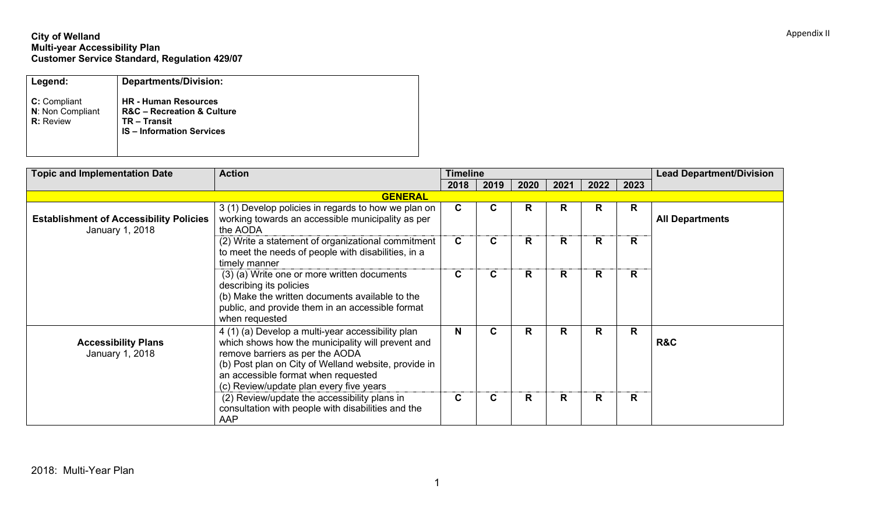## **City of Welland Multi-year Accessibility Plan Customer Service Standard, Regulation 429/07**

| Legend:                                                     | <b>Departments/Division:</b>                                                                                                |
|-------------------------------------------------------------|-----------------------------------------------------------------------------------------------------------------------------|
| <b>C:</b> Compliant<br>N: Non Compliant<br><b>R:</b> Review | <b>HR</b> - Human Resources<br><b>R&amp;C</b> – Recreation & Culture<br><b>TR-Transit</b><br><b>IS-Information Services</b> |

| <b>Topic and Implementation Date</b>                              | <b>Action</b>                                                                                                                                                                                                                                                                       | <b>Timeline</b> |      |      |      |      |              | <b>Lead Department/Division</b> |
|-------------------------------------------------------------------|-------------------------------------------------------------------------------------------------------------------------------------------------------------------------------------------------------------------------------------------------------------------------------------|-----------------|------|------|------|------|--------------|---------------------------------|
|                                                                   |                                                                                                                                                                                                                                                                                     | 2018            | 2019 | 2020 | 2021 | 2022 | 2023         |                                 |
|                                                                   | <b>GENERAL</b>                                                                                                                                                                                                                                                                      |                 |      |      |      |      |              |                                 |
| <b>Establishment of Accessibility Policies</b><br>January 1, 2018 | 3 (1) Develop policies in regards to how we plan on<br>working towards an accessible municipality as per<br>the AODA                                                                                                                                                                | $\mathbf c$     | C.   | R    | R    | R.   | R            | <b>All Departments</b>          |
|                                                                   | (2) Write a statement of organizational commitment<br>to meet the needs of people with disabilities, in a<br>timely manner                                                                                                                                                          | $\mathbf{C}$    | C    | R    | R    | R    | $\mathsf{R}$ |                                 |
|                                                                   | (3) (a) Write one or more written documents<br>describing its policies<br>(b) Make the written documents available to the<br>public, and provide them in an accessible format<br>when requested                                                                                     | $\mathbf c$     | C.   | R    | R    | R    | R            |                                 |
| <b>Accessibility Plans</b><br>January 1, 2018                     | 4 (1) (a) Develop a multi-year accessibility plan<br>which shows how the municipality will prevent and<br>remove barriers as per the AODA<br>(b) Post plan on City of Welland website, provide in<br>an accessible format when requested<br>(c) Review/update plan every five years | N               | C    | R    | R    | R    | R            | <b>R&amp;C</b>                  |
|                                                                   | (2) Review/update the accessibility plans in<br>consultation with people with disabilities and the<br>AAP                                                                                                                                                                           | $\mathbf c$     | С    | R    | R.   | R    | R.           |                                 |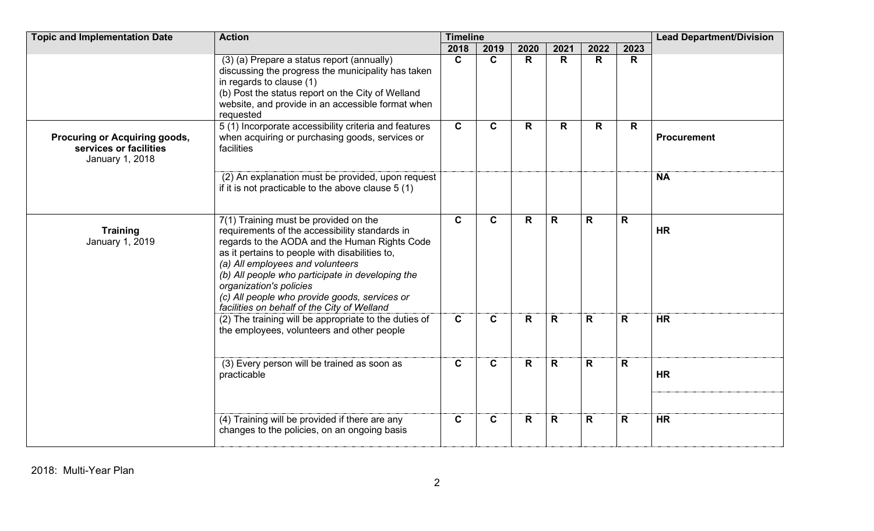| <b>Topic and Implementation Date</b><br><b>Timeline</b><br><b>Action</b>   |                                                                                                                                                                                                                                                                                                                                                                                                               |                |              |              |              |              |              | <b>Lead Department/Division</b> |
|----------------------------------------------------------------------------|---------------------------------------------------------------------------------------------------------------------------------------------------------------------------------------------------------------------------------------------------------------------------------------------------------------------------------------------------------------------------------------------------------------|----------------|--------------|--------------|--------------|--------------|--------------|---------------------------------|
|                                                                            |                                                                                                                                                                                                                                                                                                                                                                                                               | 2018           | 2019         | 2020         | 2021         | 2022         | 2023         |                                 |
|                                                                            | (3) (a) Prepare a status report (annually)<br>discussing the progress the municipality has taken<br>in regards to clause (1)<br>(b) Post the status report on the City of Welland<br>website, and provide in an accessible format when<br>requested                                                                                                                                                           | $\overline{c}$ | $\mathbf{C}$ | $\mathsf{R}$ | $\mathsf{R}$ | R            | $\mathsf{R}$ |                                 |
| Procuring or Acquiring goods,<br>services or facilities<br>January 1, 2018 | 5 (1) Incorporate accessibility criteria and features<br>when acquiring or purchasing goods, services or<br>facilities                                                                                                                                                                                                                                                                                        | $\mathbf c$    | $\mathbf{C}$ | R            | R.           | R            | R.           | <b>Procurement</b>              |
|                                                                            | (2) An explanation must be provided, upon request<br>if it is not practicable to the above clause 5 (1)                                                                                                                                                                                                                                                                                                       |                |              |              |              |              |              | <b>NA</b>                       |
| <b>Training</b><br>January 1, 2019                                         | 7(1) Training must be provided on the<br>requirements of the accessibility standards in<br>regards to the AODA and the Human Rights Code<br>as it pertains to people with disabilities to,<br>(a) All employees and volunteers<br>(b) All people who participate in developing the<br>organization's policies<br>(c) All people who provide goods, services or<br>facilities on behalf of the City of Welland | $\mathbf{C}$   | $\mathbf{C}$ | R            | $\mathbf R$  | R.           | R            | <b>HR</b>                       |
|                                                                            | (2) The training will be appropriate to the duties of<br>the employees, volunteers and other people                                                                                                                                                                                                                                                                                                           | $\mathbf{C}$   | $\mathbf C$  | $\mathsf{R}$ | $\mathsf{R}$ | $\mathsf{R}$ | $\mathsf{R}$ | <b>HR</b>                       |
|                                                                            | (3) Every person will be trained as soon as<br>practicable                                                                                                                                                                                                                                                                                                                                                    | $\mathbf{C}$   | $\mathbf{C}$ | R            | $\mathsf{R}$ | $\mathsf{R}$ | $\mathsf{R}$ | <b>HR</b>                       |
|                                                                            | (4) Training will be provided if there are any<br>changes to the policies, on an ongoing basis                                                                                                                                                                                                                                                                                                                | $\mathbf C$    | $\mathbf{C}$ | R            | $\mathsf{R}$ | $\mathsf{R}$ | $\mathsf{R}$ | <b>HR</b>                       |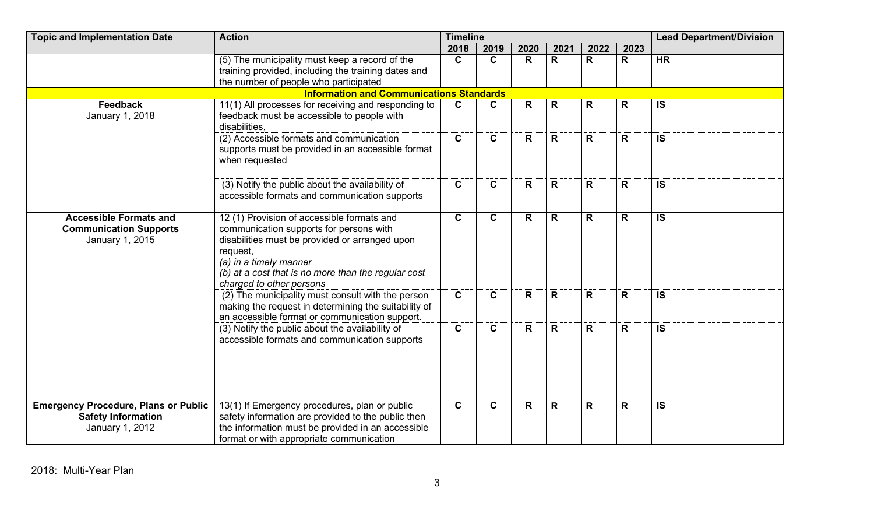| <b>Topic and Implementation Date</b>                                                        | <b>Action</b>                                                                                                                                                                                                                                                    | <b>Timeline</b> |              |      |              |              |              | <b>Lead Department/Division</b> |
|---------------------------------------------------------------------------------------------|------------------------------------------------------------------------------------------------------------------------------------------------------------------------------------------------------------------------------------------------------------------|-----------------|--------------|------|--------------|--------------|--------------|---------------------------------|
|                                                                                             |                                                                                                                                                                                                                                                                  | 2018            | 2019         | 2020 | 2021         | 2022         | 2023         |                                 |
|                                                                                             | (5) The municipality must keep a record of the<br>training provided, including the training dates and<br>the number of people who participated                                                                                                                   | $\mathbf{C}$    | $\mathbf{C}$ | R    | R            | $\mathsf{R}$ | $\mathsf{R}$ | <b>HR</b>                       |
|                                                                                             | <b>Information and Communications Standards</b>                                                                                                                                                                                                                  |                 |              |      |              |              |              |                                 |
| Feedback<br>January 1, 2018                                                                 | 11(1) All processes for receiving and responding to<br>feedback must be accessible to people with<br>disabilities.                                                                                                                                               | $\mathbf C$     | $\mathbf c$  | R    | $\mathsf{R}$ | $\mathsf{R}$ | R            | <b>IS</b>                       |
|                                                                                             | (2) Accessible formats and communication<br>supports must be provided in an accessible format<br>when requested                                                                                                                                                  | $\mathbf{C}$    | $\mathbf{C}$ | R    | $\mathsf{R}$ | R            | $\mathsf{R}$ | <b>IS</b>                       |
|                                                                                             | (3) Notify the public about the availability of<br>accessible formats and communication supports                                                                                                                                                                 | $\mathbf c$     | $\mathbf C$  | R    | $\mathsf{R}$ | $\mathsf{R}$ | R            | <b>IS</b>                       |
| <b>Accessible Formats and</b><br><b>Communication Supports</b><br>January 1, 2015           | 12 (1) Provision of accessible formats and<br>communication supports for persons with<br>disabilities must be provided or arranged upon<br>request,<br>(a) in a timely manner<br>(b) at a cost that is no more than the regular cost<br>charged to other persons | $\mathbf{C}$    | $\mathbf{C}$ | R    | $\mathsf{R}$ | $\mathsf{R}$ | R            | <b>IS</b>                       |
|                                                                                             | (2) The municipality must consult with the person<br>making the request in determining the suitability of<br>an accessible format or communication support.                                                                                                      | $\mathbf C$     | $\mathbf c$  | R    | $\mathsf{R}$ | $\mathsf{R}$ | R            | <b>IS</b>                       |
|                                                                                             | (3) Notify the public about the availability of<br>accessible formats and communication supports                                                                                                                                                                 | $\mathbf{C}$    | $\mathbf c$  | R    | $\mathbf R$  | $\mathsf{R}$ | R.           | <b>IS</b>                       |
| <b>Emergency Procedure, Plans or Public</b><br><b>Safety Information</b><br>January 1, 2012 | 13(1) If Emergency procedures, plan or public<br>safety information are provided to the public then<br>the information must be provided in an accessible<br>format or with appropriate communication                                                             | $\mathbf{C}$    | $\mathbf c$  | R    | $\mathbf R$  | $\mathsf{R}$ | $\mathbf R$  | $\overline{\mathsf{s}}$         |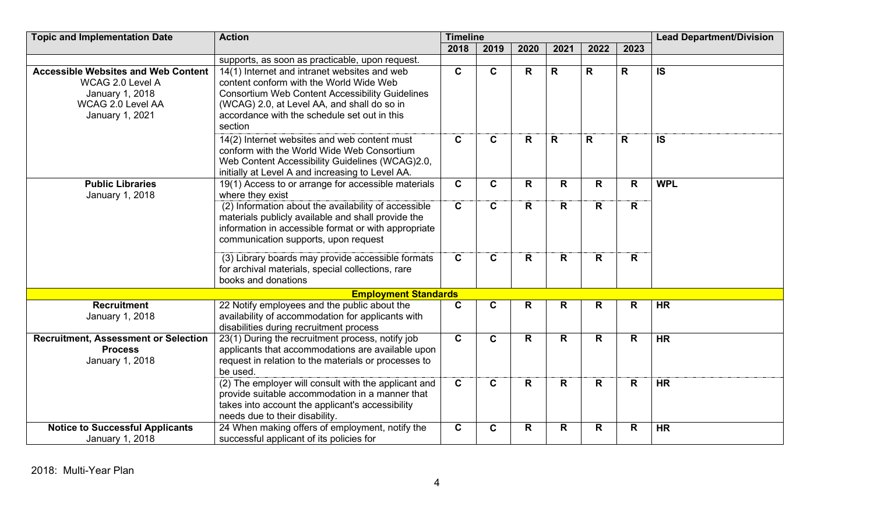| <b>Topic and Implementation Date</b>                                                                                             | <b>Action</b>                                                                                                                                                                                                                                               | <b>Timeline</b> |              |              |              |              |      | <b>Lead Department/Division</b> |  |
|----------------------------------------------------------------------------------------------------------------------------------|-------------------------------------------------------------------------------------------------------------------------------------------------------------------------------------------------------------------------------------------------------------|-----------------|--------------|--------------|--------------|--------------|------|---------------------------------|--|
|                                                                                                                                  |                                                                                                                                                                                                                                                             | 2018            | 2019         | 2020         | 2021         | 2022         | 2023 |                                 |  |
|                                                                                                                                  | supports, as soon as practicable, upon request.                                                                                                                                                                                                             |                 |              |              |              |              |      |                                 |  |
| <b>Accessible Websites and Web Content</b><br>WCAG 2.0 Level A<br>January 1, 2018<br><b>WCAG 2.0 Level AA</b><br>January 1, 2021 | 14(1) Internet and intranet websites and web<br>content conform with the World Wide Web<br><b>Consortium Web Content Accessibility Guidelines</b><br>(WCAG) 2.0, at Level AA, and shall do so in<br>accordance with the schedule set out in this<br>section | $\overline{c}$  | $\mathbf{C}$ | $\mathsf{R}$ | R            | R            | R    | <b>IS</b>                       |  |
|                                                                                                                                  | 14(2) Internet websites and web content must<br>conform with the World Wide Web Consortium<br>Web Content Accessibility Guidelines (WCAG)2.0,<br>initially at Level A and increasing to Level AA.                                                           | $\mathbf c$     | C            | R            | $\mathsf{R}$ | $\mathbf R$  | R    | <b>IS</b>                       |  |
| <b>Public Libraries</b><br>January 1, 2018                                                                                       | 19(1) Access to or arrange for accessible materials<br>where they exist                                                                                                                                                                                     | $\mathbf c$     | $\mathbf{C}$ | $\mathsf{R}$ | R            | $\mathsf{R}$ | R    | <b>WPL</b>                      |  |
|                                                                                                                                  | (2) Information about the availability of accessible<br>materials publicly available and shall provide the<br>information in accessible format or with appropriate<br>communication supports, upon request                                                  | $\mathbf C$     | $\mathbf{C}$ | R            | R            | R            | R.   |                                 |  |
|                                                                                                                                  | (3) Library boards may provide accessible formats<br>for archival materials, special collections, rare<br>books and donations                                                                                                                               | $\mathbf{C}$    | $\mathbf{C}$ | R            | R            | R            | R    |                                 |  |
|                                                                                                                                  | <b>Employment Standards</b>                                                                                                                                                                                                                                 |                 |              |              |              |              |      |                                 |  |
| <b>Recruitment</b><br>January 1, 2018                                                                                            | 22 Notify employees and the public about the<br>availability of accommodation for applicants with<br>disabilities during recruitment process                                                                                                                | $\mathbf c$     | $\mathbf{C}$ | R            | R            | R            | R    | <b>HR</b>                       |  |
| <b>Recruitment, Assessment or Selection</b><br><b>Process</b><br>January 1, 2018                                                 | 23(1) During the recruitment process, notify job<br>applicants that accommodations are available upon<br>request in relation to the materials or processes to<br>be used.                                                                                   | $\mathbf{C}$    | $\mathbf{C}$ | R            | R            | R            | R    | <b>HR</b>                       |  |
|                                                                                                                                  | (2) The employer will consult with the applicant and<br>provide suitable accommodation in a manner that<br>takes into account the applicant's accessibility<br>needs due to their disability.                                                               | $\mathbf{C}$    | $\mathbf{C}$ | $\mathsf{R}$ | R            | $\mathsf{R}$ | R    | <b>HR</b>                       |  |
| <b>Notice to Successful Applicants</b><br>January 1, 2018                                                                        | 24 When making offers of employment, notify the<br>successful applicant of its policies for                                                                                                                                                                 | $\mathbf{C}$    | $\mathbf c$  | R            | R            | $\mathsf{R}$ | R    | <b>HR</b>                       |  |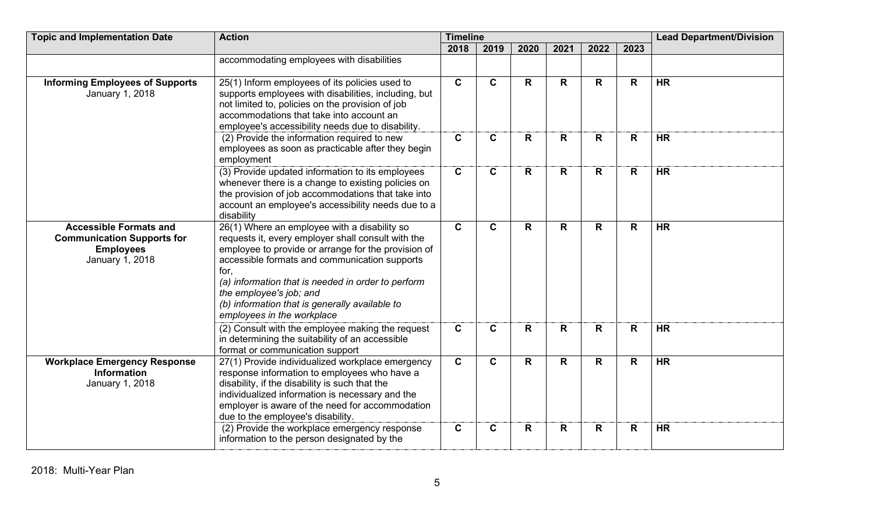| <b>Topic and Implementation Date</b>                                                                      | <b>Action</b>                                                                                                                                                                                                                                                                                                                                                                       | <b>Timeline</b> |                         |              | <b>Lead Department/Division</b> |              |      |           |
|-----------------------------------------------------------------------------------------------------------|-------------------------------------------------------------------------------------------------------------------------------------------------------------------------------------------------------------------------------------------------------------------------------------------------------------------------------------------------------------------------------------|-----------------|-------------------------|--------------|---------------------------------|--------------|------|-----------|
|                                                                                                           |                                                                                                                                                                                                                                                                                                                                                                                     | 2018            | 2019                    | 2020         | 2021                            | 2022         | 2023 |           |
|                                                                                                           | accommodating employees with disabilities                                                                                                                                                                                                                                                                                                                                           |                 |                         |              |                                 |              |      |           |
| <b>Informing Employees of Supports</b><br>January 1, 2018                                                 | 25(1) Inform employees of its policies used to<br>supports employees with disabilities, including, but<br>not limited to, policies on the provision of job<br>accommodations that take into account an<br>employee's accessibility needs due to disability.                                                                                                                         | $\overline{c}$  | $\overline{\mathbf{c}}$ | $\mathsf{R}$ | $\mathsf{R}$                    | $\mathsf{R}$ | R.   | $H$ R     |
|                                                                                                           | (2) Provide the information required to new<br>employees as soon as practicable after they begin<br>employment                                                                                                                                                                                                                                                                      | $\mathbf{C}$    | $\mathbf{C}$            | R            | $\mathsf{R}$                    | $\mathsf{R}$ | R    | <b>HR</b> |
|                                                                                                           | (3) Provide updated information to its employees<br>whenever there is a change to existing policies on<br>the provision of job accommodations that take into<br>account an employee's accessibility needs due to a<br>disability                                                                                                                                                    | $\overline{c}$  | $\overline{c}$          | R            | $\mathsf{R}$                    | R.           | R    | HR        |
| <b>Accessible Formats and</b><br><b>Communication Supports for</b><br><b>Employees</b><br>January 1, 2018 | 26(1) Where an employee with a disability so<br>requests it, every employer shall consult with the<br>employee to provide or arrange for the provision of<br>accessible formats and communication supports<br>for,<br>(a) information that is needed in order to perform<br>the employee's job; and<br>(b) information that is generally available to<br>employees in the workplace | $\mathbf{C}$    | $\mathbf{C}$            | $\mathsf{R}$ | $\mathsf{R}$                    | R.           | R    | <b>HR</b> |
|                                                                                                           | (2) Consult with the employee making the request<br>in determining the suitability of an accessible<br>format or communication support                                                                                                                                                                                                                                              | $\mathbf{C}$    | C                       | R            | R                               | R            | R    | <b>HR</b> |
| <b>Workplace Emergency Response</b><br><b>Information</b><br>January 1, 2018                              | 27(1) Provide individualized workplace emergency<br>response information to employees who have a<br>disability, if the disability is such that the<br>individualized information is necessary and the<br>employer is aware of the need for accommodation<br>due to the employee's disability.                                                                                       | $\mathbf{C}$    | $\mathbf{C}$            | $\mathsf{R}$ | $\mathsf{R}$                    | R            | R.   | <b>HR</b> |
|                                                                                                           | (2) Provide the workplace emergency response<br>information to the person designated by the                                                                                                                                                                                                                                                                                         | $\mathbf C$     | C                       | R            | R                               | R            | R    | <b>HR</b> |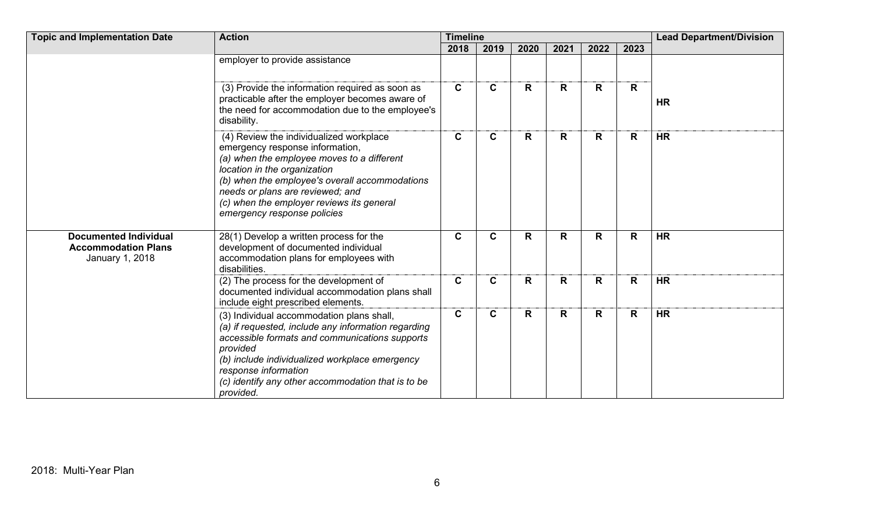| <b>Topic and Implementation Date</b>                                          | <b>Action</b>                                                                                                                                                                                                                                                                                                              | <b>Timeline</b> |              |      |      |             |      | <b>Lead Department/Division</b> |
|-------------------------------------------------------------------------------|----------------------------------------------------------------------------------------------------------------------------------------------------------------------------------------------------------------------------------------------------------------------------------------------------------------------------|-----------------|--------------|------|------|-------------|------|---------------------------------|
|                                                                               |                                                                                                                                                                                                                                                                                                                            | 2018            | 2019         | 2020 | 2021 | 2022        | 2023 |                                 |
|                                                                               | employer to provide assistance                                                                                                                                                                                                                                                                                             |                 |              |      |      |             |      |                                 |
|                                                                               | (3) Provide the information required as soon as<br>practicable after the employer becomes aware of<br>the need for accommodation due to the employee's<br>disability.                                                                                                                                                      | $\mathbf{C}$    | $\mathbf C$  | R.   | R    | R           | R    | <b>HR</b>                       |
|                                                                               | (4) Review the individualized workplace<br>emergency response information,<br>(a) when the employee moves to a different<br>location in the organization<br>(b) when the employee's overall accommodations<br>needs or plans are reviewed; and<br>(c) when the employer reviews its general<br>emergency response policies | $\mathbf C$     | $\mathbf{C}$ | R.   | R.   | R           | R    | <b>HR</b>                       |
| <b>Documented Individual</b><br><b>Accommodation Plans</b><br>January 1, 2018 | 28(1) Develop a written process for the<br>development of documented individual<br>accommodation plans for employees with<br>disabilities.                                                                                                                                                                                 | $\mathbf C$     | $\mathbf C$  | R    | R    | $\mathbf R$ | R    | <b>HR</b>                       |
|                                                                               | (2) The process for the development of<br>documented individual accommodation plans shall<br>include eight prescribed elements.                                                                                                                                                                                            | $\mathbf C$     | C            | R    | R    | $\mathbf R$ | R    | <b>HR</b>                       |
|                                                                               | (3) Individual accommodation plans shall,<br>(a) if requested, include any information regarding<br>accessible formats and communications supports<br>provided<br>(b) include individualized workplace emergency<br>response information<br>(c) identify any other accommodation that is to be<br>provided.                | $\mathbf c$     | C.           | R    | R    | R           | R    | <b>HR</b>                       |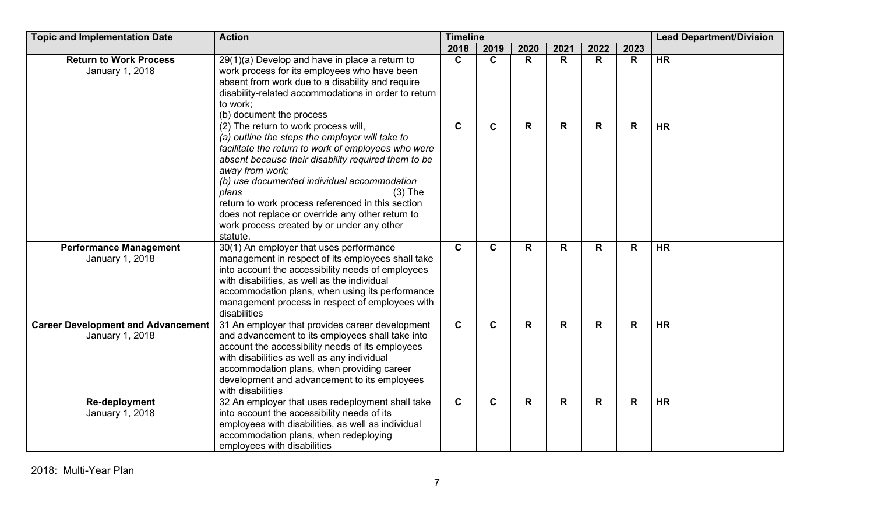| <b>Topic and Implementation Date</b>                         | <b>Action</b>                                                                                                                                                                                                                                                                                                                                                                                                                                                    | <b>Timeline</b> |              |              |      | <b>Lead Department/Division</b> |              |           |
|--------------------------------------------------------------|------------------------------------------------------------------------------------------------------------------------------------------------------------------------------------------------------------------------------------------------------------------------------------------------------------------------------------------------------------------------------------------------------------------------------------------------------------------|-----------------|--------------|--------------|------|---------------------------------|--------------|-----------|
|                                                              |                                                                                                                                                                                                                                                                                                                                                                                                                                                                  | 2018            | 2019         | 2020         | 2021 | 2022                            | 2023         |           |
| <b>Return to Work Process</b><br>January 1, 2018             | $29(1)(a)$ Develop and have in place a return to<br>work process for its employees who have been<br>absent from work due to a disability and require<br>disability-related accommodations in order to return<br>to work;<br>(b) document the process                                                                                                                                                                                                             | $\mathbf C$     | C            | $\mathsf{R}$ | R    | R                               | $\mathsf{R}$ | <b>HR</b> |
|                                                              | (2) The return to work process will,<br>(a) outline the steps the employer will take to<br>facilitate the return to work of employees who were<br>absent because their disability required them to be<br>away from work;<br>(b) use documented individual accommodation<br>plans<br>$(3)$ The<br>return to work process referenced in this section<br>does not replace or override any other return to<br>work process created by or under any other<br>statute. | $\mathbf C$     | $\mathbf{C}$ | $\mathsf{R}$ | R.   | $\mathsf{R}$                    | R            | <b>HR</b> |
| <b>Performance Management</b><br>January 1, 2018             | 30(1) An employer that uses performance<br>management in respect of its employees shall take<br>into account the accessibility needs of employees<br>with disabilities, as well as the individual<br>accommodation plans, when using its performance<br>management process in respect of employees with<br>disabilities                                                                                                                                          | $\mathbf{C}$    | $\mathbf{C}$ | $\mathsf{R}$ | R    | $\mathsf{R}$                    | $\mathsf{R}$ | <b>HR</b> |
| <b>Career Development and Advancement</b><br>January 1, 2018 | 31 An employer that provides career development<br>and advancement to its employees shall take into<br>account the accessibility needs of its employees<br>with disabilities as well as any individual<br>accommodation plans, when providing career<br>development and advancement to its employees<br>with disabilities                                                                                                                                        | $\mathbf{C}$    | $\mathbf{C}$ | R            | R.   | R                               | R            | <b>HR</b> |
| <b>Re-deployment</b><br>January 1, 2018                      | 32 An employer that uses redeployment shall take<br>into account the accessibility needs of its<br>employees with disabilities, as well as individual<br>accommodation plans, when redeploying<br>employees with disabilities                                                                                                                                                                                                                                    | $\mathbf c$     | $\mathbf C$  | R            | R    | R                               | $\mathsf{R}$ | <b>HR</b> |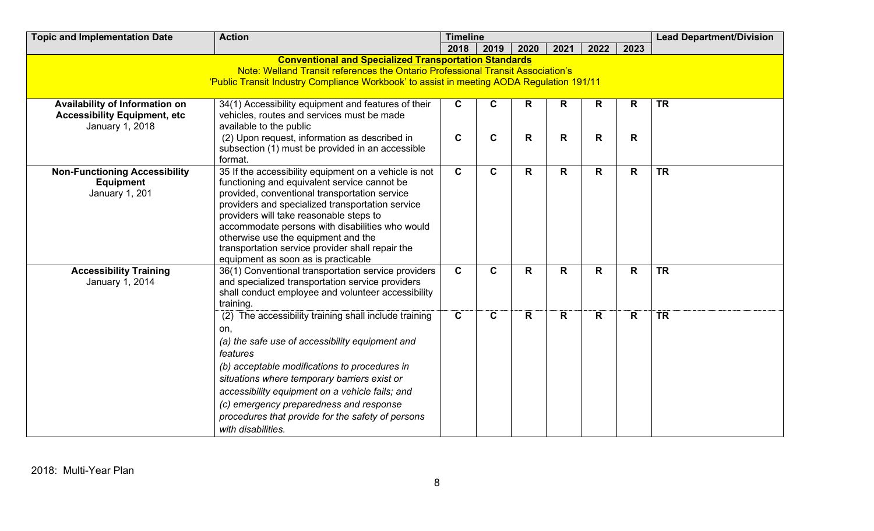| <b>Topic and Implementation Date</b>                                                                                                                                                                                                         | <b>Action</b><br><b>Timeline</b>                                                                                                                                                                                                                                                                                                                                                                                                           |                            |                  |        |        |                              |        |                          |  |  |  |
|----------------------------------------------------------------------------------------------------------------------------------------------------------------------------------------------------------------------------------------------|--------------------------------------------------------------------------------------------------------------------------------------------------------------------------------------------------------------------------------------------------------------------------------------------------------------------------------------------------------------------------------------------------------------------------------------------|----------------------------|------------------|--------|--------|------------------------------|--------|--------------------------|--|--|--|
|                                                                                                                                                                                                                                              |                                                                                                                                                                                                                                                                                                                                                                                                                                            | 2018                       | 2019             | 2020   | 2021   | 2022                         | 2023   |                          |  |  |  |
| <b>Conventional and Specialized Transportation Standards</b><br>Note: Welland Transit references the Ontario Professional Transit Association's<br>'Public Transit Industry Compliance Workbook' to assist in meeting AODA Regulation 191/11 |                                                                                                                                                                                                                                                                                                                                                                                                                                            |                            |                  |        |        |                              |        |                          |  |  |  |
| Availability of Information on<br><b>Accessibility Equipment, etc</b><br>January 1, 2018                                                                                                                                                     | 34(1) Accessibility equipment and features of their<br>vehicles, routes and services must be made<br>available to the public<br>(2) Upon request, information as described in<br>subsection (1) must be provided in an accessible<br>format.                                                                                                                                                                                               | $\mathbf c$<br>$\mathbf c$ | C<br>$\mathbf c$ | R<br>R | R<br>R | $\mathsf{R}$<br>$\mathsf{R}$ | R<br>R | <b>TR</b>                |  |  |  |
| <b>Non-Functioning Accessibility</b><br><b>Equipment</b><br><b>January 1, 201</b>                                                                                                                                                            | 35 If the accessibility equipment on a vehicle is not<br>functioning and equivalent service cannot be<br>provided, conventional transportation service<br>providers and specialized transportation service<br>providers will take reasonable steps to<br>accommodate persons with disabilities who would<br>otherwise use the equipment and the<br>transportation service provider shall repair the<br>equipment as soon as is practicable | $\mathbf{C}$               | $\mathbf{C}$     | R      | R.     | R                            | R      | <b>TR</b>                |  |  |  |
| <b>Accessibility Training</b><br>January 1, 2014                                                                                                                                                                                             | 36(1) Conventional transportation service providers<br>and specialized transportation service providers<br>shall conduct employee and volunteer accessibility<br>training.                                                                                                                                                                                                                                                                 | $\mathbf C$                | C                | R      | R      | R                            | R      | <b>TR</b>                |  |  |  |
|                                                                                                                                                                                                                                              | (2) The accessibility training shall include training<br>on,<br>(a) the safe use of accessibility equipment and<br>features<br>(b) acceptable modifications to procedures in<br>situations where temporary barriers exist or<br>accessibility equipment on a vehicle fails; and<br>(c) emergency preparedness and response<br>procedures that provide for the safety of persons<br>with disabilities.                                      | $\mathbf c$                | C                | R      | R      | R                            | R      | $\overline{\mathsf{TR}}$ |  |  |  |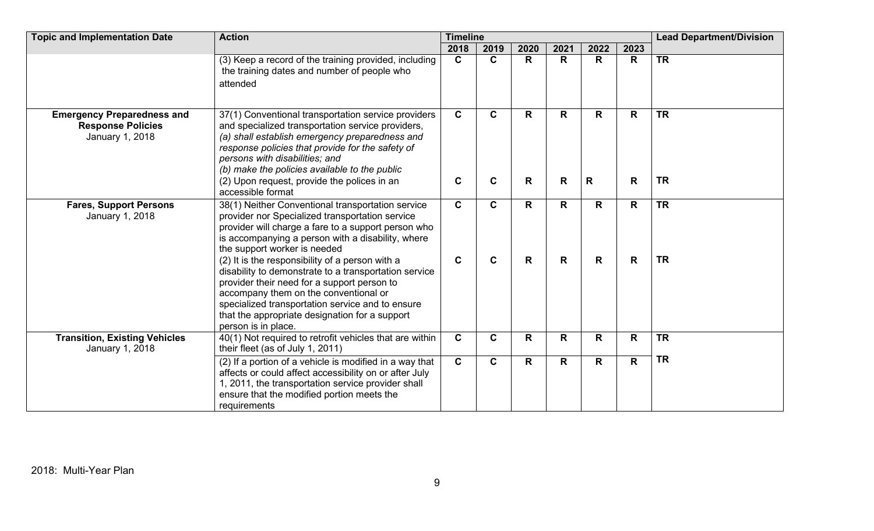| <b>Topic and Implementation Date</b>                                             | <b>Action</b>                                                                                                                                                                                                                                                                                                                                                                                                                                                             | <b>Timeline</b>  |              |                              |              |              |        | <b>Lead Department/Division</b> |
|----------------------------------------------------------------------------------|---------------------------------------------------------------------------------------------------------------------------------------------------------------------------------------------------------------------------------------------------------------------------------------------------------------------------------------------------------------------------------------------------------------------------------------------------------------------------|------------------|--------------|------------------------------|--------------|--------------|--------|---------------------------------|
|                                                                                  |                                                                                                                                                                                                                                                                                                                                                                                                                                                                           | 2018             | 2019         | 2020                         | 2021         | 2022         | 2023   |                                 |
|                                                                                  | (3) Keep a record of the training provided, including<br>the training dates and number of people who<br>attended                                                                                                                                                                                                                                                                                                                                                          | $\mathbf{C}$     | $\mathbf{C}$ | $\mathsf{R}$                 | R            | R            | R      | <b>TR</b>                       |
| <b>Emergency Preparedness and</b><br><b>Response Policies</b><br>January 1, 2018 | 37(1) Conventional transportation service providers<br>and specialized transportation service providers,<br>(a) shall establish emergency preparedness and<br>response policies that provide for the safety of<br>persons with disabilities; and<br>(b) make the policies available to the public<br>(2) Upon request, provide the polices in an                                                                                                                          | $\mathbf C$<br>C | C<br>C       | $\mathsf{R}$<br>$\mathsf{R}$ | R<br>R       | R.<br>R      | R<br>R | <b>TR</b><br><b>TR</b>          |
| <b>Fares, Support Persons</b><br>January 1, 2018                                 | accessible format<br>38(1) Neither Conventional transportation service<br>provider nor Specialized transportation service                                                                                                                                                                                                                                                                                                                                                 | $\mathbf{C}$     | C            | R                            | $\mathsf{R}$ | R            | R      | <b>TR</b>                       |
|                                                                                  | provider will charge a fare to a support person who<br>is accompanying a person with a disability, where<br>the support worker is needed<br>(2) It is the responsibility of a person with a<br>disability to demonstrate to a transportation service<br>provider their need for a support person to<br>accompany them on the conventional or<br>specialized transportation service and to ensure<br>that the appropriate designation for a support<br>person is in place. | $\mathbf C$      | C            | $\mathsf{R}$                 | R            | $\mathsf{R}$ | R      | <b>TR</b>                       |
| <b>Transition, Existing Vehicles</b><br>January 1, 2018                          | 40(1) Not required to retrofit vehicles that are within<br>their fleet (as of July 1, 2011)                                                                                                                                                                                                                                                                                                                                                                               | $\mathbf C$      | C            | R                            | R            | R            | R      | <b>TR</b>                       |
|                                                                                  | (2) If a portion of a vehicle is modified in a way that<br>affects or could affect accessibility on or after July<br>1, 2011, the transportation service provider shall<br>ensure that the modified portion meets the<br>requirements                                                                                                                                                                                                                                     | $\mathbf{C}$     | $\mathbf{C}$ | $\mathsf{R}$                 | R            | R            | R      | <b>TR</b>                       |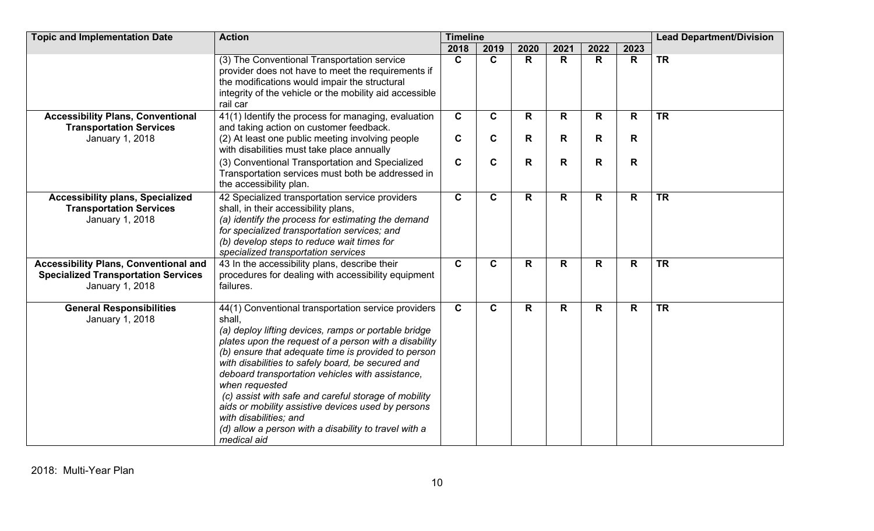| <b>Topic and Implementation Date</b>                                                                          | <b>Action</b>                                                                                                                                                                                                                                                                                                                                                                                                                                                                                                                                                                    | <b>Timeline</b> |              |              |              | <b>Lead Department/Division</b> |      |           |
|---------------------------------------------------------------------------------------------------------------|----------------------------------------------------------------------------------------------------------------------------------------------------------------------------------------------------------------------------------------------------------------------------------------------------------------------------------------------------------------------------------------------------------------------------------------------------------------------------------------------------------------------------------------------------------------------------------|-----------------|--------------|--------------|--------------|---------------------------------|------|-----------|
|                                                                                                               |                                                                                                                                                                                                                                                                                                                                                                                                                                                                                                                                                                                  | 2018            | 2019         | 2020         | 2021         | 2022                            | 2023 |           |
|                                                                                                               | (3) The Conventional Transportation service<br>provider does not have to meet the requirements if<br>the modifications would impair the structural<br>integrity of the vehicle or the mobility aid accessible<br>rail car                                                                                                                                                                                                                                                                                                                                                        | $\mathbf{C}$    | $\mathbf{C}$ | R            | $\mathsf{R}$ | $\mathsf{R}$                    | R    | <b>TR</b> |
| <b>Accessibility Plans, Conventional</b><br><b>Transportation Services</b>                                    | $\overline{41(1)}$ Identify the process for managing, evaluation<br>and taking action on customer feedback.                                                                                                                                                                                                                                                                                                                                                                                                                                                                      | $\mathbf{C}$    | $\mathbf{C}$ | $\mathsf{R}$ | $\mathsf{R}$ | $\mathsf{R}$                    | R    | <b>TR</b> |
| January 1, 2018                                                                                               | (2) At least one public meeting involving people<br>with disabilities must take place annually                                                                                                                                                                                                                                                                                                                                                                                                                                                                                   | $\mathbf C$     | $\mathbf c$  | R            | R            | $\mathsf{R}$                    | R    |           |
|                                                                                                               | (3) Conventional Transportation and Specialized<br>Transportation services must both be addressed in<br>the accessibility plan.                                                                                                                                                                                                                                                                                                                                                                                                                                                  | $\mathbf c$     | $\mathbf c$  | R            | R            | $\mathbf R$                     | R    |           |
| <b>Accessibility plans, Specialized</b><br><b>Transportation Services</b><br>January 1, 2018                  | 42 Specialized transportation service providers<br>shall, in their accessibility plans,<br>(a) identify the process for estimating the demand<br>for specialized transportation services; and<br>(b) develop steps to reduce wait times for<br>specialized transportation services                                                                                                                                                                                                                                                                                               | $\mathbf{C}$    | $\mathbf c$  | R            | R            | R                               | R    | <b>TR</b> |
| <b>Accessibility Plans, Conventional and</b><br><b>Specialized Transportation Services</b><br>January 1, 2018 | 43 In the accessibility plans, describe their<br>procedures for dealing with accessibility equipment<br>failures.                                                                                                                                                                                                                                                                                                                                                                                                                                                                | $\mathbf{C}$    | $\mathbf c$  | R            | R            | R                               | R    | <b>TR</b> |
| <b>General Responsibilities</b><br>January 1, 2018                                                            | 44(1) Conventional transportation service providers<br>shall,<br>(a) deploy lifting devices, ramps or portable bridge<br>plates upon the request of a person with a disability<br>(b) ensure that adequate time is provided to person<br>with disabilities to safely board, be secured and<br>deboard transportation vehicles with assistance,<br>when requested<br>(c) assist with safe and careful storage of mobility<br>aids or mobility assistive devices used by persons<br>with disabilities; and<br>(d) allow a person with a disability to travel with a<br>medical aid | $\mathbf{C}$    | $\mathbf C$  | R            | $\mathsf{R}$ | R                               | R.   | <b>TR</b> |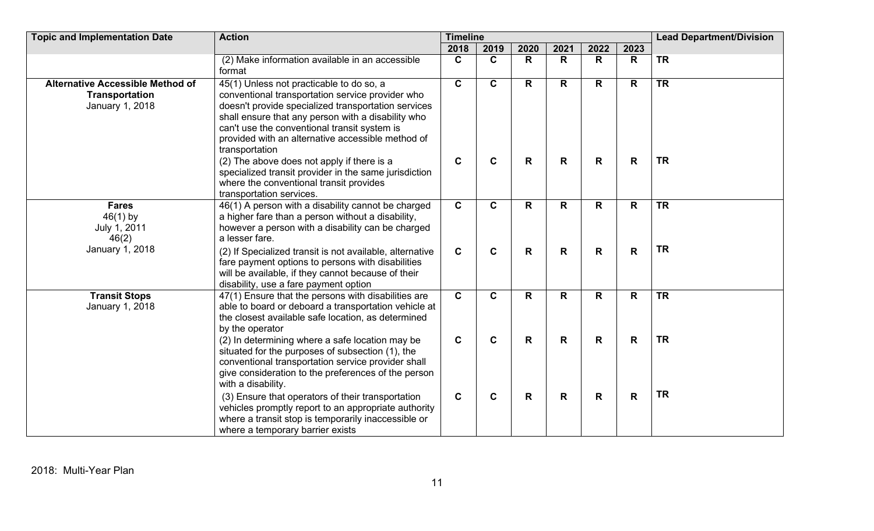| <b>Topic and Implementation Date</b>                                                | <b>Action</b>                                                                                                                                                                                                                                                                                                                    | <b>Timeline</b> |              |              |      | <b>Lead Department/Division</b> |              |           |
|-------------------------------------------------------------------------------------|----------------------------------------------------------------------------------------------------------------------------------------------------------------------------------------------------------------------------------------------------------------------------------------------------------------------------------|-----------------|--------------|--------------|------|---------------------------------|--------------|-----------|
|                                                                                     |                                                                                                                                                                                                                                                                                                                                  | 2018            | 2019         | 2020         | 2021 | 2022                            | 2023         |           |
|                                                                                     | (2) Make information available in an accessible<br>format                                                                                                                                                                                                                                                                        | $\mathbf{C}$    | $\mathbf C$  | R            | R    | R                               | R            | <b>TR</b> |
| <b>Alternative Accessible Method of</b><br><b>Transportation</b><br>January 1, 2018 | 45(1) Unless not practicable to do so, a<br>conventional transportation service provider who<br>doesn't provide specialized transportation services<br>shall ensure that any person with a disability who<br>can't use the conventional transit system is<br>provided with an alternative accessible method of<br>transportation | $\mathbf{C}$    | $\mathbf{C}$ | R            | R.   | R                               | R            | <b>TR</b> |
|                                                                                     | (2) The above does not apply if there is a<br>specialized transit provider in the same jurisdiction<br>where the conventional transit provides<br>transportation services.                                                                                                                                                       | $\mathbf c$     | $\mathbf C$  | $\mathsf{R}$ | R    | R                               | R            | <b>TR</b> |
| <b>Fares</b><br>$46(1)$ by<br>July 1, 2011<br>46(2)                                 | 46(1) A person with a disability cannot be charged<br>a higher fare than a person without a disability,<br>however a person with a disability can be charged<br>a lesser fare.                                                                                                                                                   | $\mathbf{C}$    | $\mathbf{C}$ | R            | R.   | R                               | R            | <b>TR</b> |
| January 1, 2018                                                                     | (2) If Specialized transit is not available, alternative<br>fare payment options to persons with disabilities<br>will be available, if they cannot because of their<br>disability, use a fare payment option                                                                                                                     | $\mathbf{C}$    | $\mathbf C$  | $\mathsf{R}$ | R    | $\mathsf{R}$                    | $\mathsf{R}$ | <b>TR</b> |
| <b>Transit Stops</b><br>January 1, 2018                                             | 47(1) Ensure that the persons with disabilities are<br>able to board or deboard a transportation vehicle at<br>the closest available safe location, as determined<br>by the operator                                                                                                                                             | $\overline{c}$  | $\mathbf{C}$ | $\mathsf{R}$ | R.   | $\mathsf{R}$                    | R            | TR        |
|                                                                                     | (2) In determining where a safe location may be<br>situated for the purposes of subsection (1), the<br>conventional transportation service provider shall<br>give consideration to the preferences of the person<br>with a disability.                                                                                           | $\mathbf c$     | $\mathbf C$  | $\mathsf{R}$ | R    | $\mathsf{R}$                    | $\mathbf R$  | <b>TR</b> |
|                                                                                     | (3) Ensure that operators of their transportation<br>vehicles promptly report to an appropriate authority<br>where a transit stop is temporarily inaccessible or<br>where a temporary barrier exists                                                                                                                             | $\mathbf c$     | $\mathbf c$  | R            | R    | R                               | R            | <b>TR</b> |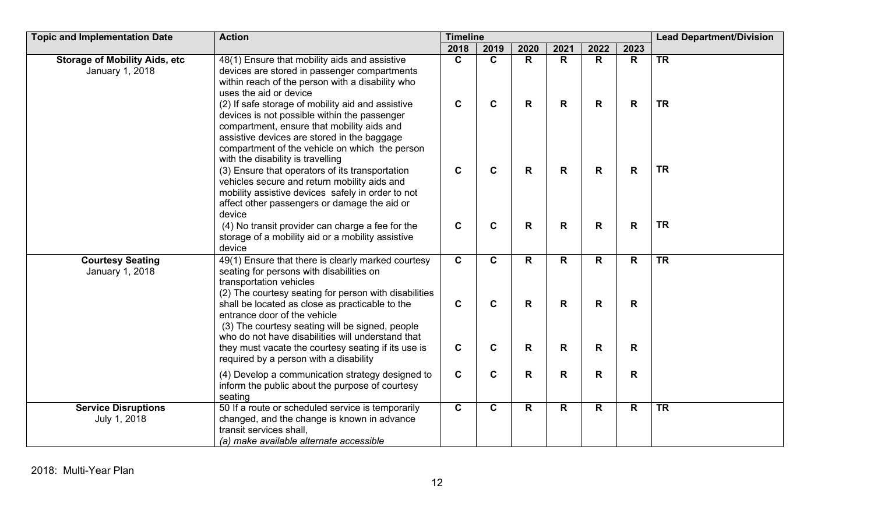| <b>Topic and Implementation Date</b>                    | <b>Action</b>                                                                                                                                                                                                                                                                         | <b>Timeline</b>            |                            |                    |              |                             |        | <b>Lead Department/Division</b> |  |
|---------------------------------------------------------|---------------------------------------------------------------------------------------------------------------------------------------------------------------------------------------------------------------------------------------------------------------------------------------|----------------------------|----------------------------|--------------------|--------------|-----------------------------|--------|---------------------------------|--|
|                                                         |                                                                                                                                                                                                                                                                                       | 2018                       | 2019                       | 2020               | 2021         | 2022                        | 2023   |                                 |  |
| <b>Storage of Mobility Aids, etc</b><br>January 1, 2018 | 48(1) Ensure that mobility aids and assistive<br>devices are stored in passenger compartments<br>within reach of the person with a disability who<br>uses the aid or device                                                                                                           | $\mathbf{C}$               | $\mathbf{C}$               | $\mathsf{R}$       | $\mathsf{R}$ | $\mathsf{R}$                | R      | <b>TR</b>                       |  |
|                                                         | (2) If safe storage of mobility aid and assistive<br>devices is not possible within the passenger<br>compartment, ensure that mobility aids and<br>assistive devices are stored in the baggage<br>compartment of the vehicle on which the person<br>with the disability is travelling | $\mathbf C$                | $\mathbf C$                | $\mathbf R$        | R            | $\mathbf R$                 | R      | <b>TR</b>                       |  |
|                                                         | (3) Ensure that operators of its transportation<br>vehicles secure and return mobility aids and<br>mobility assistive devices safely in order to not<br>affect other passengers or damage the aid or<br>device                                                                        | $\mathbf C$                | $\mathbf c$                | R                  | R            | $\mathbf R$                 | R      | <b>TR</b>                       |  |
|                                                         | (4) No transit provider can charge a fee for the<br>storage of a mobility aid or a mobility assistive<br>device                                                                                                                                                                       | $\mathbf c$                | $\mathbf c$                | $\mathbf R$        | R            | $\mathbf R$                 | R      | <b>TR</b>                       |  |
| <b>Courtesy Seating</b><br>January 1, 2018              | 49(1) Ensure that there is clearly marked courtesy<br>seating for persons with disabilities on<br>transportation vehicles<br>(2) The courtesy seating for person with disabilities                                                                                                    | $\mathbf c$                | $\mathbf{C}$               | R                  | R            | R                           | R      | <b>TR</b>                       |  |
|                                                         | shall be located as close as practicable to the<br>entrance door of the vehicle<br>(3) The courtesy seating will be signed, people<br>who do not have disabilities will understand that<br>they must vacate the courtesy seating if its use is                                        | $\mathbf C$<br>$\mathbf c$ | $\mathbf c$<br>$\mathbf c$ | $\mathsf{R}$<br>R. | R<br>R       | $\mathbf R$<br>$\mathsf{R}$ | R<br>R |                                 |  |
|                                                         | required by a person with a disability                                                                                                                                                                                                                                                |                            |                            |                    |              |                             |        |                                 |  |
|                                                         | (4) Develop a communication strategy designed to<br>inform the public about the purpose of courtesy<br>seating                                                                                                                                                                        | $\mathbf C$                | $\mathbf c$                | $\mathsf{R}$       | R            | $\mathsf{R}$                | R      |                                 |  |
| <b>Service Disruptions</b><br>July 1, 2018              | 50 If a route or scheduled service is temporarily<br>changed, and the change is known in advance<br>transit services shall,<br>(a) make available alternate accessible                                                                                                                | $\mathbf{C}$               | $\mathbf C$                | $\mathbf R$        | R            | $\mathbf R$                 | R      | <b>TR</b>                       |  |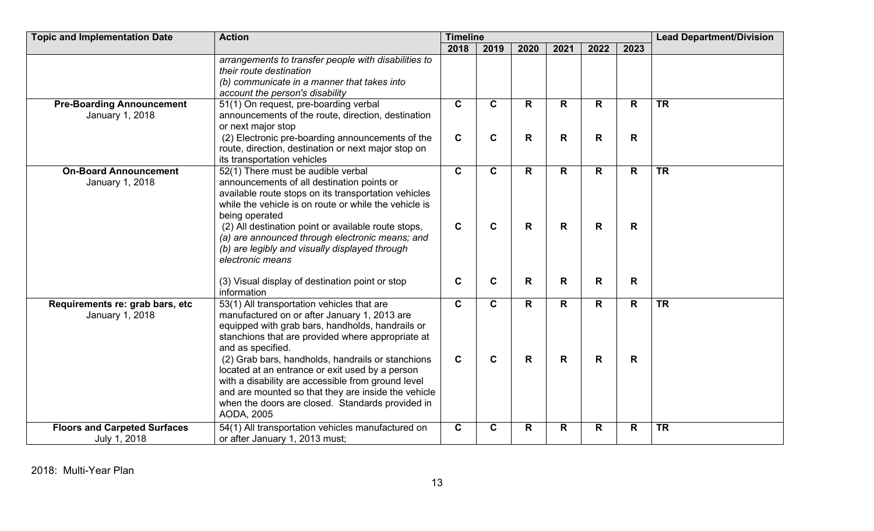| <b>Topic and Implementation Date</b>                | <b>Action</b>                                                                                                                                                                                                                                                                       | <b>Timeline</b>            |                             |        |         |                              |                   | <b>Lead Department/Division</b> |  |
|-----------------------------------------------------|-------------------------------------------------------------------------------------------------------------------------------------------------------------------------------------------------------------------------------------------------------------------------------------|----------------------------|-----------------------------|--------|---------|------------------------------|-------------------|---------------------------------|--|
|                                                     |                                                                                                                                                                                                                                                                                     | 2018                       | 2019                        | 2020   | 2021    | 2022                         | 2023              |                                 |  |
|                                                     | arrangements to transfer people with disabilities to<br>their route destination<br>(b) communicate in a manner that takes into<br>account the person's disability                                                                                                                   |                            |                             |        |         |                              |                   |                                 |  |
| <b>Pre-Boarding Announcement</b><br>January 1, 2018 | 51(1) On request, pre-boarding verbal<br>announcements of the route, direction, destination<br>or next major stop<br>(2) Electronic pre-boarding announcements of the                                                                                                               | $\mathbf c$<br>$\mathbf C$ | $\mathbf{C}$<br>$\mathbf c$ | R<br>R | R.<br>R | $\mathsf{R}$<br>$\mathsf{R}$ | $\mathsf{R}$<br>R | <b>TR</b>                       |  |
|                                                     | route, direction, destination or next major stop on<br>its transportation vehicles                                                                                                                                                                                                  |                            |                             |        |         |                              |                   |                                 |  |
| <b>On-Board Announcement</b><br>January 1, 2018     | 52(1) There must be audible verbal<br>announcements of all destination points or<br>available route stops on its transportation vehicles<br>while the vehicle is on route or while the vehicle is<br>being operated                                                                 | $\mathbf c$                | $\mathbf{C}$                | R      | R.      | $\mathsf{R}$                 | R                 | <b>TR</b>                       |  |
|                                                     | (2) All destination point or available route stops,<br>(a) are announced through electronic means; and<br>(b) are legibly and visually displayed through<br>electronic means                                                                                                        | $\mathbf C$                | $\mathbf C$                 | R      | R       | $\mathsf{R}$                 | R                 |                                 |  |
|                                                     | (3) Visual display of destination point or stop<br>information                                                                                                                                                                                                                      | $\mathbf C$                | $\mathbf C$                 | R      | R       | R                            | R                 |                                 |  |
| Requirements re: grab bars, etc<br>January 1, 2018  | 53(1) All transportation vehicles that are<br>manufactured on or after January 1, 2013 are<br>equipped with grab bars, handholds, handrails or<br>stanchions that are provided where appropriate at<br>and as specified.                                                            | $\mathbf{C}$               | $\mathbf{C}$                | R.     | R.      | R                            | R                 | <b>TR</b>                       |  |
|                                                     | (2) Grab bars, handholds, handrails or stanchions<br>located at an entrance or exit used by a person<br>with a disability are accessible from ground level<br>and are mounted so that they are inside the vehicle<br>when the doors are closed. Standards provided in<br>AODA, 2005 | $\mathbf C$                | $\mathbf C$                 | R      | R       | $\mathsf{R}$                 | R                 |                                 |  |
| <b>Floors and Carpeted Surfaces</b><br>July 1, 2018 | 54(1) All transportation vehicles manufactured on<br>or after January 1, 2013 must;                                                                                                                                                                                                 | $\mathbf C$                | $\mathbf c$                 | R      | R       | R                            | R                 | <b>TR</b>                       |  |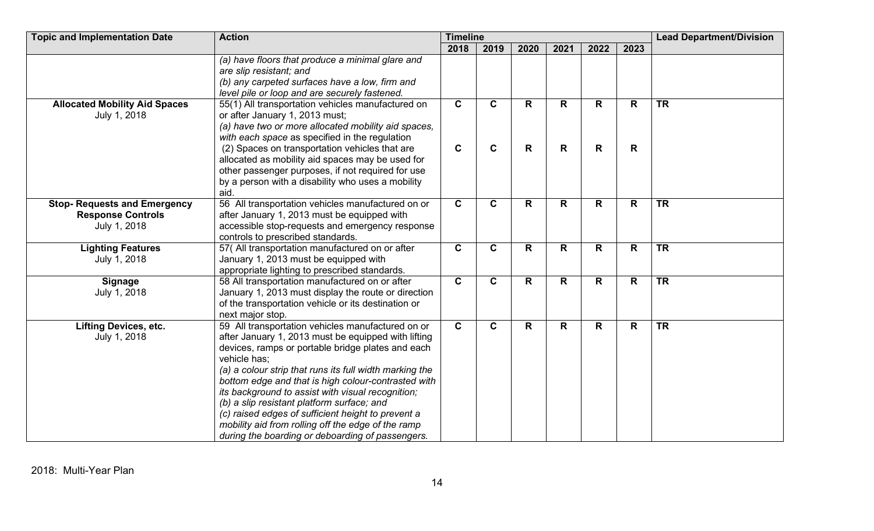| <b>Topic and Implementation Date</b> | <b>Action</b>                                           | <b>Timeline</b> |              |              |              |              |      | <b>Lead Department/Division</b> |
|--------------------------------------|---------------------------------------------------------|-----------------|--------------|--------------|--------------|--------------|------|---------------------------------|
|                                      |                                                         | 2018            | 2019         | 2020         | 2021         | 2022         | 2023 |                                 |
|                                      | (a) have floors that produce a minimal glare and        |                 |              |              |              |              |      |                                 |
|                                      | are slip resistant; and                                 |                 |              |              |              |              |      |                                 |
|                                      | (b) any carpeted surfaces have a low, firm and          |                 |              |              |              |              |      |                                 |
|                                      | level pile or loop and are securely fastened.           |                 |              |              |              |              |      |                                 |
| <b>Allocated Mobility Aid Spaces</b> | 55(1) All transportation vehicles manufactured on       | $\mathbf{C}$    | $\mathbf{C}$ | R            | R            | R            | R    | <b>TR</b>                       |
| July 1, 2018                         | or after January 1, 2013 must;                          |                 |              |              |              |              |      |                                 |
|                                      | (a) have two or more allocated mobility aid spaces,     |                 |              |              |              |              |      |                                 |
|                                      | with each space as specified in the regulation          |                 |              |              |              |              |      |                                 |
|                                      | (2) Spaces on transportation vehicles that are          | $\mathbf c$     | $\mathbf C$  | R            | R            | R            | R    |                                 |
|                                      | allocated as mobility aid spaces may be used for        |                 |              |              |              |              |      |                                 |
|                                      | other passenger purposes, if not required for use       |                 |              |              |              |              |      |                                 |
|                                      | by a person with a disability who uses a mobility       |                 |              |              |              |              |      |                                 |
|                                      | aid.                                                    |                 |              |              |              |              |      |                                 |
| <b>Stop-Requests and Emergency</b>   | 56 All transportation vehicles manufactured on or       | $\mathbf{C}$    | $\mathbf{C}$ | $\mathsf{R}$ | $\mathsf{R}$ | R            | R    | <b>TR</b>                       |
| <b>Response Controls</b>             | after January 1, 2013 must be equipped with             |                 |              |              |              |              |      |                                 |
| July 1, 2018                         | accessible stop-requests and emergency response         |                 |              |              |              |              |      |                                 |
|                                      | controls to prescribed standards.                       |                 |              |              |              |              |      |                                 |
| <b>Lighting Features</b>             | 57( All transportation manufactured on or after         | $\mathbf C$     | $\mathbf C$  | R            | R            | $\mathsf{R}$ | R    | <b>TR</b>                       |
| July 1, 2018                         | January 1, 2013 must be equipped with                   |                 |              |              |              |              |      |                                 |
|                                      | appropriate lighting to prescribed standards.           |                 |              |              |              |              |      |                                 |
| <b>Signage</b>                       | 58 All transportation manufactured on or after          | $\mathbf c$     | $\mathbf C$  | R            | R            | R            | R    | <b>TR</b>                       |
| July 1, 2018                         | January 1, 2013 must display the route or direction     |                 |              |              |              |              |      |                                 |
|                                      | of the transportation vehicle or its destination or     |                 |              |              |              |              |      |                                 |
|                                      | next major stop.                                        |                 |              |              |              |              |      |                                 |
| <b>Lifting Devices, etc.</b>         | 59 All transportation vehicles manufactured on or       | $\mathbf{C}$    | $\mathbf{C}$ | R.           | R.           | $\mathsf{R}$ | R    | <b>TR</b>                       |
| July 1, 2018                         | after January 1, 2013 must be equipped with lifting     |                 |              |              |              |              |      |                                 |
|                                      | devices, ramps or portable bridge plates and each       |                 |              |              |              |              |      |                                 |
|                                      | vehicle has;                                            |                 |              |              |              |              |      |                                 |
|                                      | (a) a colour strip that runs its full width marking the |                 |              |              |              |              |      |                                 |
|                                      | bottom edge and that is high colour-contrasted with     |                 |              |              |              |              |      |                                 |
|                                      | its background to assist with visual recognition;       |                 |              |              |              |              |      |                                 |
|                                      | (b) a slip resistant platform surface; and              |                 |              |              |              |              |      |                                 |
|                                      | (c) raised edges of sufficient height to prevent a      |                 |              |              |              |              |      |                                 |
|                                      | mobility aid from rolling off the edge of the ramp      |                 |              |              |              |              |      |                                 |
|                                      | during the boarding or deboarding of passengers.        |                 |              |              |              |              |      |                                 |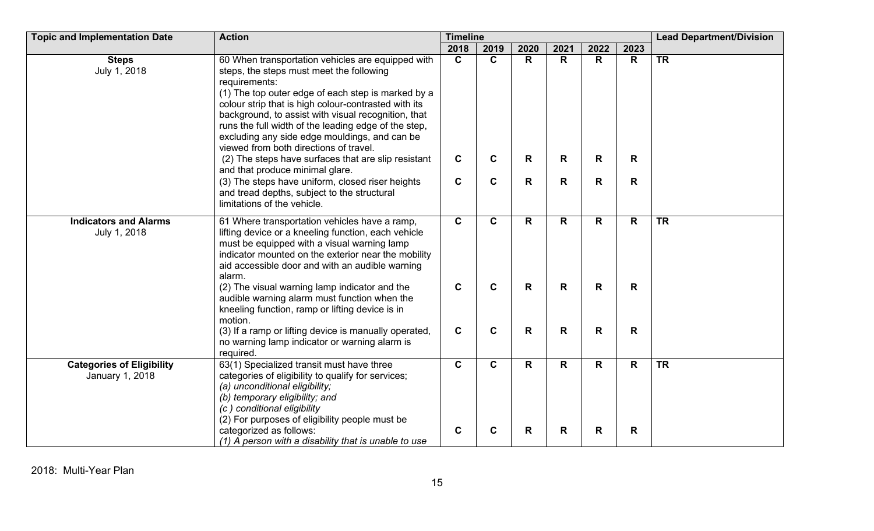| <b>Topic and Implementation Date</b>                | <b>Action</b>                                                                                                                                                                                                                                                                                                                                                                                                                          | <b>Timeline</b> |              |              |      |              |              | <b>Lead Department/Division</b> |  |
|-----------------------------------------------------|----------------------------------------------------------------------------------------------------------------------------------------------------------------------------------------------------------------------------------------------------------------------------------------------------------------------------------------------------------------------------------------------------------------------------------------|-----------------|--------------|--------------|------|--------------|--------------|---------------------------------|--|
|                                                     |                                                                                                                                                                                                                                                                                                                                                                                                                                        | 2018            | 2019         | 2020         | 2021 | 2022         | 2023         |                                 |  |
| <b>Steps</b><br>July 1, 2018                        | 60 When transportation vehicles are equipped with<br>steps, the steps must meet the following<br>requirements:<br>(1) The top outer edge of each step is marked by a<br>colour strip that is high colour-contrasted with its<br>background, to assist with visual recognition, that<br>runs the full width of the leading edge of the step,<br>excluding any side edge mouldings, and can be<br>viewed from both directions of travel. | $\mathbf{C}$    | $\mathbf{C}$ | R            | R    | $\mathsf{R}$ | R            | <b>TR</b>                       |  |
|                                                     | (2) The steps have surfaces that are slip resistant<br>and that produce minimal glare.                                                                                                                                                                                                                                                                                                                                                 | $\mathbf c$     | $\mathbf c$  | R            | R    | R            | R            |                                 |  |
|                                                     | (3) The steps have uniform, closed riser heights<br>and tread depths, subject to the structural<br>limitations of the vehicle.                                                                                                                                                                                                                                                                                                         | $\mathbf c$     | $\mathbf C$  | R            | R    | $\mathsf{R}$ | R            |                                 |  |
| <b>Indicators and Alarms</b><br>July 1, 2018        | 61 Where transportation vehicles have a ramp,<br>lifting device or a kneeling function, each vehicle<br>must be equipped with a visual warning lamp<br>indicator mounted on the exterior near the mobility<br>aid accessible door and with an audible warning<br>alarm.                                                                                                                                                                | $\mathbf{C}$    | $\mathbf{C}$ | R            | R.   | $\mathsf{R}$ | $\mathsf{R}$ | <b>TR</b>                       |  |
|                                                     | (2) The visual warning lamp indicator and the<br>audible warning alarm must function when the<br>kneeling function, ramp or lifting device is in<br>motion.                                                                                                                                                                                                                                                                            | $\mathbf c$     | $\mathbf c$  | R            | R    | $\mathsf{R}$ | $\mathsf{R}$ |                                 |  |
|                                                     | (3) If a ramp or lifting device is manually operated,<br>no warning lamp indicator or warning alarm is<br>required.                                                                                                                                                                                                                                                                                                                    | $\mathbf c$     | $\mathbf C$  | $\mathsf{R}$ | R    | $\mathsf{R}$ | $\mathsf{R}$ |                                 |  |
| <b>Categories of Eligibility</b><br>January 1, 2018 | 63(1) Specialized transit must have three<br>categories of eligibility to qualify for services;<br>(a) unconditional eligibility;<br>(b) temporary eligibility; and<br>(c) conditional eligibility<br>(2) For purposes of eligibility people must be                                                                                                                                                                                   | $\mathbf{C}$    | $\mathbf{C}$ | R            | R.   | R            | R            | <b>TR</b>                       |  |
|                                                     | categorized as follows:<br>(1) A person with a disability that is unable to use                                                                                                                                                                                                                                                                                                                                                        | $\mathbf c$     | $\mathbf C$  | R            | R    | R            | R            |                                 |  |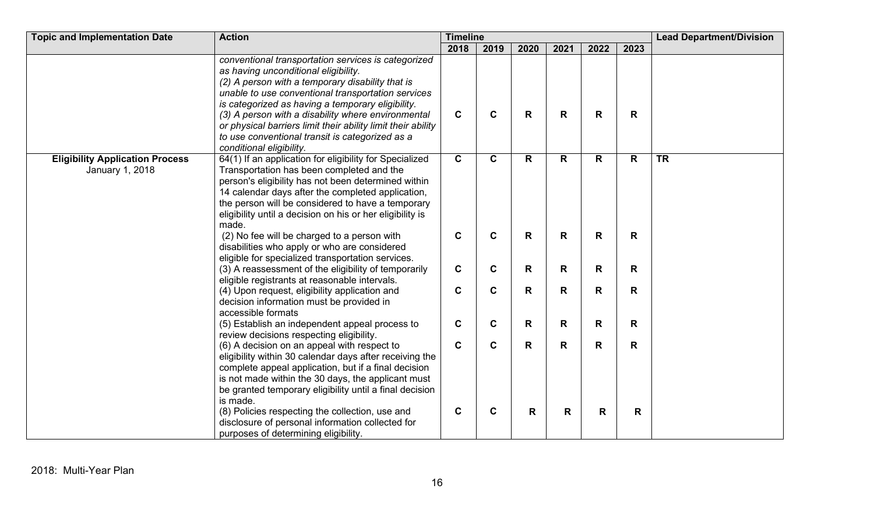| <b>Topic and Implementation Date</b>                      | <b>Action</b>                                                                                                                                                                                                                                                                                                                                                                                                                                                   | <b>Timeline</b> |              |      |              |              |              | <b>Lead Department/Division</b> |  |
|-----------------------------------------------------------|-----------------------------------------------------------------------------------------------------------------------------------------------------------------------------------------------------------------------------------------------------------------------------------------------------------------------------------------------------------------------------------------------------------------------------------------------------------------|-----------------|--------------|------|--------------|--------------|--------------|---------------------------------|--|
|                                                           |                                                                                                                                                                                                                                                                                                                                                                                                                                                                 | 2018            | 2019         | 2020 | 2021         | 2022         | 2023         |                                 |  |
|                                                           | conventional transportation services is categorized<br>as having unconditional eligibility.<br>(2) A person with a temporary disability that is<br>unable to use conventional transportation services<br>is categorized as having a temporary eligibility.<br>(3) A person with a disability where environmental<br>or physical barriers limit their ability limit their ability<br>to use conventional transit is categorized as a<br>conditional eligibility. | $\mathbf c$     | C            | R    | R            | R            | R            |                                 |  |
| <b>Eligibility Application Process</b><br>January 1, 2018 | 64(1) If an application for eligibility for Specialized<br>Transportation has been completed and the<br>person's eligibility has not been determined within<br>14 calendar days after the completed application,<br>the person will be considered to have a temporary<br>eligibility until a decision on his or her eligibility is<br>made.                                                                                                                     | $\mathbf C$     | $\mathbf{C}$ | R    | $\mathsf{R}$ | $\mathsf{R}$ | $\mathsf{R}$ | <b>TR</b>                       |  |
|                                                           | (2) No fee will be charged to a person with<br>disabilities who apply or who are considered<br>eligible for specialized transportation services.                                                                                                                                                                                                                                                                                                                | $\mathbf C$     | $\mathbf c$  | R    | R            | $\mathsf{R}$ | R            |                                 |  |
|                                                           | (3) A reassessment of the eligibility of temporarily<br>eligible registrants at reasonable intervals.                                                                                                                                                                                                                                                                                                                                                           | $\mathbf c$     | C            | R    | R            | R            | $\mathsf{R}$ |                                 |  |
|                                                           | (4) Upon request, eligibility application and<br>decision information must be provided in<br>accessible formats                                                                                                                                                                                                                                                                                                                                                 | $\mathbf C$     | C            | R    | R            | R            | R            |                                 |  |
|                                                           | (5) Establish an independent appeal process to<br>review decisions respecting eligibility.                                                                                                                                                                                                                                                                                                                                                                      | $\mathbf c$     | C            | R    | R            | R            | $\mathsf{R}$ |                                 |  |
|                                                           | (6) A decision on an appeal with respect to<br>eligibility within 30 calendar days after receiving the<br>complete appeal application, but if a final decision<br>is not made within the 30 days, the applicant must<br>be granted temporary eligibility until a final decision<br>is made.                                                                                                                                                                     | $\mathbf c$     | $\mathbf c$  | R    | R            | $\mathsf{R}$ | $\mathsf{R}$ |                                 |  |
|                                                           | (8) Policies respecting the collection, use and<br>disclosure of personal information collected for<br>purposes of determining eligibility.                                                                                                                                                                                                                                                                                                                     | $\mathbf c$     | C            | R    | R            | $\mathsf{R}$ | R            |                                 |  |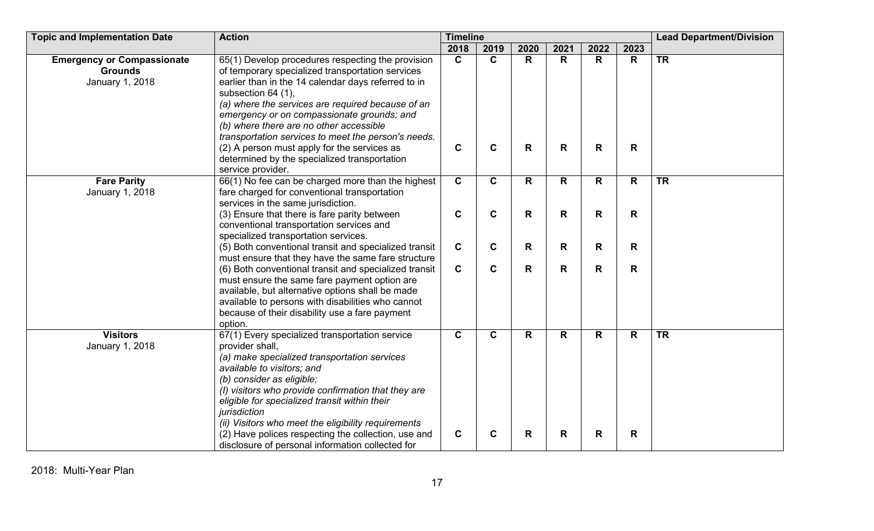| <b>Topic and Implementation Date</b>                                   | <b>Action</b>                                                                                                                                                                                                                                                                                                                                                                                                                                                                                               | <b>Timeline</b>             |                              |                   |         | <b>Lead Department/Division</b> |        |           |
|------------------------------------------------------------------------|-------------------------------------------------------------------------------------------------------------------------------------------------------------------------------------------------------------------------------------------------------------------------------------------------------------------------------------------------------------------------------------------------------------------------------------------------------------------------------------------------------------|-----------------------------|------------------------------|-------------------|---------|---------------------------------|--------|-----------|
|                                                                        |                                                                                                                                                                                                                                                                                                                                                                                                                                                                                                             | 2018                        | 2019                         | 2020              | 2021    | 2022                            | 2023   |           |
| <b>Emergency or Compassionate</b><br><b>Grounds</b><br>January 1, 2018 | 65(1) Develop procedures respecting the provision<br>of temporary specialized transportation services<br>earlier than in the 14 calendar days referred to in<br>subsection 64 (1),<br>(a) where the services are required because of an<br>emergency or on compassionate grounds; and<br>(b) where there are no other accessible<br>transportation services to meet the person's needs.<br>(2) A person must apply for the services as<br>determined by the specialized transportation<br>service provider. | $\mathbf{C}$<br>$\mathbf C$ | $\mathbf{C}$<br>$\mathbf{C}$ | R<br>$\mathsf{R}$ | R.<br>R | R<br>$\mathsf{R}$               | R<br>R | <b>TR</b> |
| <b>Fare Parity</b><br>January 1, 2018                                  | 66(1) No fee can be charged more than the highest<br>fare charged for conventional transportation<br>services in the same jurisdiction.                                                                                                                                                                                                                                                                                                                                                                     | $\overline{c}$              | $\mathbf{C}$                 | R.                | R       | $\mathsf{R}$                    | R      | TR        |
|                                                                        | (3) Ensure that there is fare parity between<br>conventional transportation services and<br>specialized transportation services.                                                                                                                                                                                                                                                                                                                                                                            | $\mathbf c$                 | $\mathbf c$                  | R                 | R       | $\mathsf{R}$                    | R      |           |
|                                                                        | (5) Both conventional transit and specialized transit<br>must ensure that they have the same fare structure                                                                                                                                                                                                                                                                                                                                                                                                 | $\mathbf{C}$                | $\mathbf c$                  | R                 | R       | R                               | R      |           |
|                                                                        | (6) Both conventional transit and specialized transit<br>must ensure the same fare payment option are<br>available, but alternative options shall be made<br>available to persons with disabilities who cannot<br>because of their disability use a fare payment<br>option.                                                                                                                                                                                                                                 | $\mathbf c$                 | C                            | R                 | R       | R                               | R      |           |
| <b>Visitors</b><br>January 1, 2018                                     | 67(1) Every specialized transportation service<br>provider shall,<br>(a) make specialized transportation services<br>available to visitors; and<br>(b) consider as eligible;<br>(I) visitors who provide confirmation that they are<br>eligible for specialized transit within their<br>jurisdiction<br>(ii) Visitors who meet the eligibility requirements                                                                                                                                                 | $\mathbf C$                 | $\mathbf{C}$                 | R                 | R.      | $\mathsf{R}$                    | R      | <b>TR</b> |
|                                                                        | (2) Have polices respecting the collection, use and<br>disclosure of personal information collected for                                                                                                                                                                                                                                                                                                                                                                                                     | $\mathbf c$                 | $\mathbf c$                  | R                 | R       | R                               | R      |           |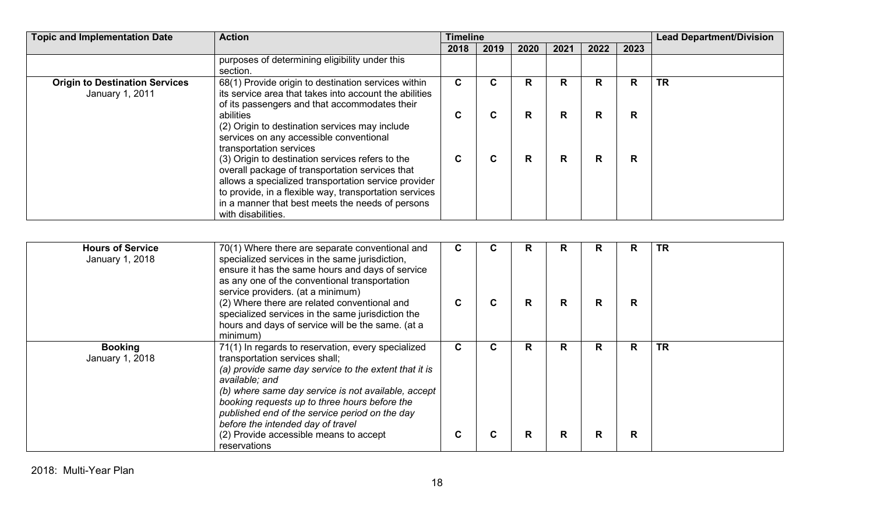| <b>Topic and Implementation Date</b>                     | <b>Action</b>                                                                                                                                                                                                                                                                                   | <b>Timeline</b> |      |      |      |              |      | <b>Lead Department/Division</b> |
|----------------------------------------------------------|-------------------------------------------------------------------------------------------------------------------------------------------------------------------------------------------------------------------------------------------------------------------------------------------------|-----------------|------|------|------|--------------|------|---------------------------------|
|                                                          |                                                                                                                                                                                                                                                                                                 | 2018            | 2019 | 2020 | 2021 | 2022         | 2023 |                                 |
|                                                          | purposes of determining eligibility under this<br>section.                                                                                                                                                                                                                                      |                 |      |      |      |              |      |                                 |
| <b>Origin to Destination Services</b><br>January 1, 2011 | 68(1) Provide origin to destination services within<br>its service area that takes into account the abilities<br>of its passengers and that accommodates their                                                                                                                                  | C.              | С    | R    | R    | R            | R    | <b>TR</b>                       |
|                                                          | abilities<br>(2) Origin to destination services may include<br>services on any accessible conventional<br>transportation services                                                                                                                                                               | ⌒<br>◡          | C    | R    | R.   | $\mathbf R$  | R    |                                 |
|                                                          | (3) Origin to destination services refers to the<br>overall package of transportation services that<br>allows a specialized transportation service provider<br>to provide, in a flexible way, transportation services<br>in a manner that best meets the needs of persons<br>with disabilities. | C               | C.   | R    | R    | $\mathsf{R}$ | R    |                                 |

| <b>Hours of Service</b><br>January 1, 2018 | 70(1) Where there are separate conventional and<br>specialized services in the same jurisdiction,<br>ensure it has the same hours and days of service<br>as any one of the conventional transportation<br>service providers. (at a minimum)<br>(2) Where there are related conventional and<br>specialized services in the same jurisdiction the<br>hours and days of service will be the same. (at a<br>minimum)        | С<br>C | u  | R      | R.<br>R. | R<br>R | R<br>R. | <b>TR</b> |
|--------------------------------------------|--------------------------------------------------------------------------------------------------------------------------------------------------------------------------------------------------------------------------------------------------------------------------------------------------------------------------------------------------------------------------------------------------------------------------|--------|----|--------|----------|--------|---------|-----------|
| <b>Booking</b><br>January 1, 2018          | 71(1) In regards to reservation, every specialized<br>transportation services shall;<br>(a) provide same day service to the extent that it is<br>available; and<br>(b) where same day service is not available, accept<br>booking requests up to three hours before the<br>published end of the service period on the day<br>before the intended day of travel<br>(2) Provide accessible means to accept<br>reservations | C<br>С | C. | R<br>R | R.<br>R. | R<br>R | R.<br>R | <b>TR</b> |